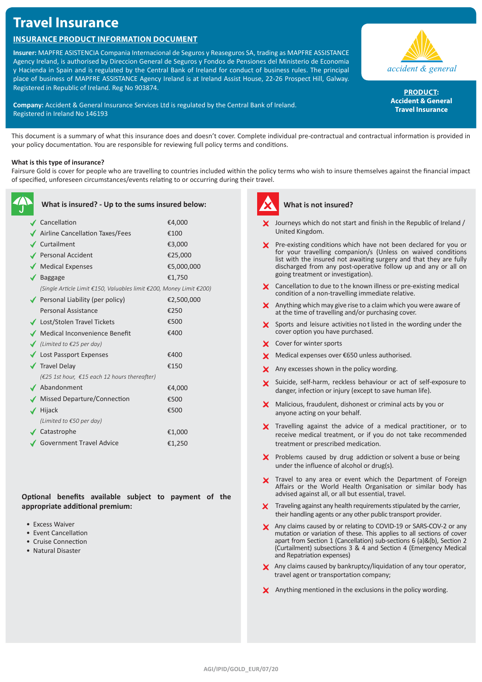# **Travel Insurance**

## **Insurance Product Information Document**

**Insurer:** MAPFRE ASISTENCIA Compania Internacional de Seguros y Reaseguros SA, trading as MAPFRE ASSISTANCE Agency Ireland, is authorised by Direccion General de Seguros y Fondos de Pensiones del Ministerio de Economia y Hacienda in Spain and is regulated by the Central Bank of Ireland for conduct of business rules. The principal place of business of MAPFRE ASSISTANCE Agency Ireland is at Ireland Assist House, 22-26 Prospect Hill, Galway. Registered in Republic of Ireland. Reg No 903874.

**Company:** Accident & General Insurance Services Ltd is regulated by the Central Bank of Ireland. Registered in Ireland No 146193



**PRODUCT: Accident & General Travel Insurance**

This document is a summary of what this insurance does and doesn't cover. Complete individual pre-contractual and contractual information is provided in your policy documentation. You are responsible for reviewing full policy terms and conditions.

### **What is this type of insurance?**

Fairsure Gold is cover for people who are travelling to countries included within the policy terms who wish to insure themselves against the financial impact of specified, unforeseen circumstances/events relating to or occurring during their travel.

|   | What is insured? - Up to the sums insured below:                    |            |
|---|---------------------------------------------------------------------|------------|
|   | ✔ Cancellation                                                      | €4,000     |
|   | Airline Cancellation Taxes/Fees                                     | €100       |
|   | <b>∕</b> Curtailment                                                | €3,000     |
|   | Personal Accident                                                   | €25,000    |
|   | ◆ Medical Expenses                                                  | €5,000,000 |
|   | <b>Baggage</b>                                                      | €1,750     |
|   | (Single Article Limit €150, Valuables limit €200, Money Limit €200) |            |
|   | Personal Liability (per policy)                                     | €2,500,000 |
|   | Personal Assistance                                                 | €250       |
|   | ◆ Lost/Stolen Travel Tickets                                        | €500       |
|   | ● Medical Inconvenience Benefit                                     | €400       |
|   | ◯ (Limited to $€25$ per day)                                        |            |
|   | ◆ Lost Passport Expenses                                            | €400       |
|   | <b>√</b> Travel Delay                                               | €150       |
|   | (€25 1st hour, €15 each 12 hours thereafter)                        |            |
|   | Abandonment                                                         | €4,000     |
|   | Missed Departure/Connection                                         | €500       |
| ✔ | Hijack                                                              | €500       |
|   | (Limited to $€50$ per day)                                          |            |
|   | <b>∕</b> Catastrophe                                                | €1,000     |
|   | <b>Government Travel Advice</b>                                     | €1,250     |
|   |                                                                     |            |

**Optional benefits available subject to payment of the appropriate additional premium:**

- Excess Waiver
- Event Cancellation
- Cruise Connection
- Natural Disaster



## **What is not insured?**

- Journeys which do not start and finish in the Republic of Ireland / United Kingdom.
- **X** Pre-existing conditions which have not been declared for you or for your travelling companion/s (Unless on waived conditions list with the insured not awaiting surgery and that they are fully discharged from any post-operative follow up and any or all on going treatment or investigation).
- X Cancellation to due to the known illness or pre-existing medical condition of a non-travelling immediate relative.
- $\boldsymbol{\times}$  Anything which may give rise to a claim which you were aware of at the time of travelling and/or purchasing cover.
- $\boldsymbol{\times}$  Sports and leisure activities not listed in the wording under the cover option you have purchased.
- X Cover for winter sports
- X Medical expenses over €650 unless authorised.
- X Any excesses shown in the policy wording.
- X Suicide, self-harm, reckless behaviour or act of self-exposure to danger, infection or injury (except to save human life).
- X Malicious, fraudulent, dishonest or criminal acts by you or anyone acting on your behalf.
- X Travelling against the advice of a medical practitioner, or to receive medical treatment, or if you do not take recommended treatment or prescribed medication.
- $\boldsymbol{\times}$  Problems caused by drug addiction or solvent a buse or being under the influence of alcohol or drug(s).
- X Travel to any area or event which the Department of Foreign Affairs or the World Health Organisation or similar body has advised against all, or all but essential, travel.
- **X** Traveling against any health requirements stipulated by the carrier, their handling agents or any other public transport provider.
- X Any claims caused by or relating to COVID-19 or SARS-COV-2 or any mutation or variation of these. This applies to all sections of cover apart from Section 1 (Cancellation) sub-sections 6 (a)&(b), Section 2 (Curtailment) subsections 3 & 4 and Section 4 (Emergency Medical and Repatriation expenses)
- $\blacktriangleright$  Any claims caused by bankruptcy/liquidation of any tour operator, travel agent or transportation company;
- X Anything mentioned in the exclusions in the policy wording.